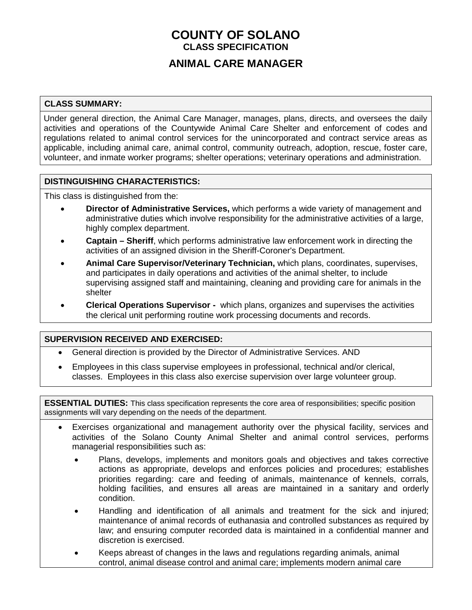## **COUNTY OF SOLANO CLASS SPECIFICATION**

### **ANIMAL CARE MANAGER**

#### **CLASS SUMMARY:**

Under general direction, the Animal Care Manager, manages, plans, directs, and oversees the daily activities and operations of the Countywide Animal Care Shelter and enforcement of codes and regulations related to animal control services for the unincorporated and contract service areas as applicable, including animal care, animal control, community outreach, adoption, rescue, foster care, volunteer, and inmate worker programs; shelter operations; veterinary operations and administration.

#### **DISTINGUISHING CHARACTERISTICS:**

This class is distinguished from the:

- **Director of Administrative Services,** which performs a wide variety of management and administrative duties which involve responsibility for the administrative activities of a large, highly complex department.
- **Captain – Sheriff**, which performs administrative law enforcement work in directing the activities of an assigned division in the Sheriff-Coroner's Department.
- **Animal Care Supervisor/Veterinary Technician,** which plans, coordinates, supervises, and participates in daily operations and activities of the animal shelter, to include supervising assigned staff and maintaining, cleaning and providing care for animals in the shelter
- **Clerical Operations Supervisor -** which plans, organizes and supervises the activities the clerical unit performing routine work processing documents and records.

#### **SUPERVISION RECEIVED AND EXERCISED:**

- General direction is provided by the Director of Administrative Services. AND
- Employees in this class supervise employees in professional, technical and/or clerical, classes. Employees in this class also exercise supervision over large volunteer group.

**ESSENTIAL DUTIES:** This class specification represents the core area of responsibilities; specific position assignments will vary depending on the needs of the department.

- Exercises organizational and management authority over the physical facility, services and activities of the Solano County Animal Shelter and animal control services, performs managerial responsibilities such as:
	- Plans, develops, implements and monitors goals and objectives and takes corrective actions as appropriate, develops and enforces policies and procedures; establishes priorities regarding: care and feeding of animals, maintenance of kennels, corrals, holding facilities, and ensures all areas are maintained in a sanitary and orderly condition.
	- Handling and identification of all animals and treatment for the sick and injured; maintenance of animal records of euthanasia and controlled substances as required by law; and ensuring computer recorded data is maintained in a confidential manner and discretion is exercised.
	- Keeps abreast of changes in the laws and regulations regarding animals, animal control, animal disease control and animal care; implements modern animal care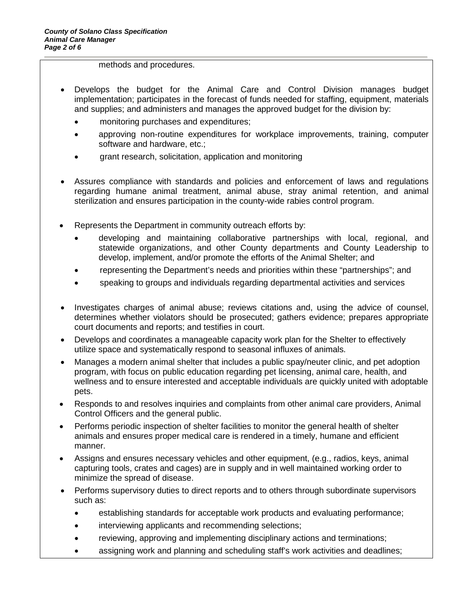methods and procedures.

- Develops the budget for the Animal Care and Control Division manages budget implementation; participates in the forecast of funds needed for staffing, equipment, materials and supplies; and administers and manages the approved budget for the division by:
	- monitoring purchases and expenditures;
	- approving non-routine expenditures for workplace improvements, training, computer software and hardware, etc.;
	- grant research, solicitation, application and monitoring
- Assures compliance with standards and policies and enforcement of laws and regulations regarding humane animal treatment, animal abuse, stray animal retention, and animal sterilization and ensures participation in the county-wide rabies control program.
- Represents the Department in community outreach efforts by:
	- developing and maintaining collaborative partnerships with local, regional, and statewide organizations, and other County departments and County Leadership to develop, implement, and/or promote the efforts of the Animal Shelter; and
	- representing the Department's needs and priorities within these "partnerships"; and
	- speaking to groups and individuals regarding departmental activities and services
- Investigates charges of animal abuse; reviews citations and, using the advice of counsel, determines whether violators should be prosecuted; gathers evidence; prepares appropriate court documents and reports; and testifies in court.
- Develops and coordinates a manageable capacity work plan for the Shelter to effectively utilize space and systematically respond to seasonal influxes of animals.
- Manages a modern animal shelter that includes a public spay/neuter clinic, and pet adoption program, with focus on public education regarding pet licensing, animal care, health, and wellness and to ensure interested and acceptable individuals are quickly united with adoptable pets.
- Responds to and resolves inquiries and complaints from other animal care providers, Animal Control Officers and the general public.
- Performs periodic inspection of shelter facilities to monitor the general health of shelter animals and ensures proper medical care is rendered in a timely, humane and efficient manner.
- Assigns and ensures necessary vehicles and other equipment, (e.g., radios, keys, animal capturing tools, crates and cages) are in supply and in well maintained working order to minimize the spread of disease.
- Performs supervisory duties to direct reports and to others through subordinate supervisors such as:
	- establishing standards for acceptable work products and evaluating performance;
	- interviewing applicants and recommending selections;
	- reviewing, approving and implementing disciplinary actions and terminations;
	- assigning work and planning and scheduling staff's work activities and deadlines;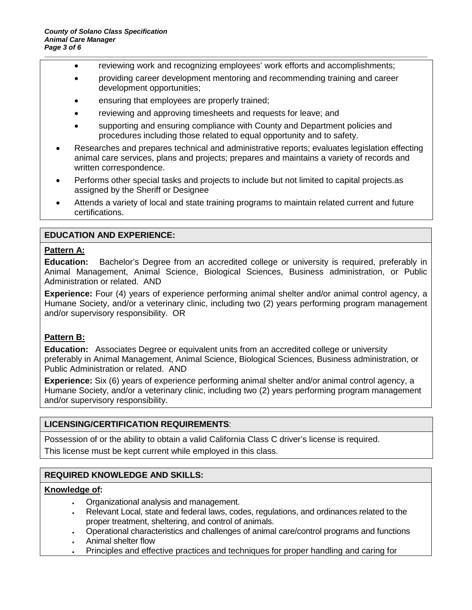- reviewing work and recognizing employees' work efforts and accomplishments;
- providing career development mentoring and recommending training and career development opportunities;
- ensuring that employees are properly trained;
- reviewing and approving timesheets and requests for leave; and
- supporting and ensuring compliance with County and Department policies and procedures including those related to equal opportunity and to safety.
- Researches and prepares technical and administrative reports; evaluates legislation effecting animal care services, plans and projects; prepares and maintains a variety of records and written correspondence.
- Performs other special tasks and projects to include but not limited to capital projects as assigned by the Sheriff or Designee
- Attends a variety of local and state training programs to maintain related current and future certifications.

#### **EDUCATION AND EXPERIENCE:**

#### **Pattern A:**

**Education:** Bachelor's Degree from an accredited college or university is required, preferably in Animal Management, Animal Science, Biological Sciences, Business administration, or Public Administration or related. AND

**Experience:** Four (4) years of experience performing animal shelter and/or animal control agency, a Humane Society, and/or a veterinary clinic, including two (2) years performing program management and/or supervisory responsibility. OR

#### **Pattern B:**

**Education:** Associates Degree or equivalent units from an accredited college or university preferably in Animal Management, Animal Science, Biological Sciences, Business administration, or Public Administration or related. AND

**Experience:** Six (6) years of experience performing animal shelter and/or animal control agency, a Humane Society, and/or a veterinary clinic, including two (2) years performing program management and/or supervisory responsibility.

#### **LICENSING/CERTIFICATION REQUIREMENTS**:

Possession of or the ability to obtain a valid California Class C driver's license is required.

This license must be kept current while employed in this class.

#### **REQUIRED KNOWLEDGE AND SKILLS:**

#### **Knowledge of:**

- Organizational analysis and management.
- Relevant Local, state and federal laws, codes, regulations, and ordinances related to the proper treatment, sheltering, and control of animals.
- Operational characteristics and challenges of animal care/control programs and functions
- Animal shelter flow
- Principles and effective practices and techniques for proper handling and caring for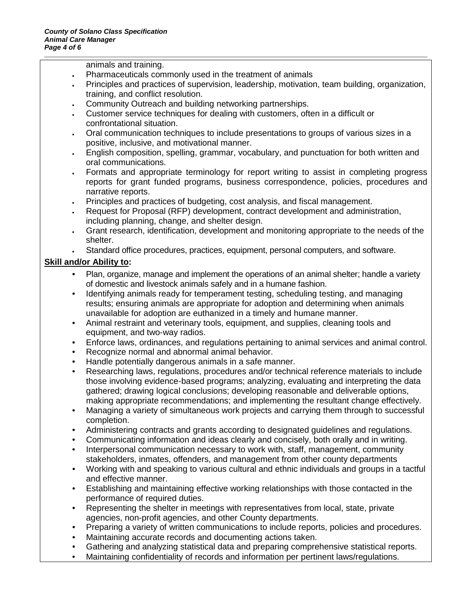animals and training.

- Pharmaceuticals commonly used in the treatment of animals
- Principles and practices of supervision, leadership, motivation, team building, organization, training, and conflict resolution.
- Community Outreach and building networking partnerships.
- Customer service techniques for dealing with customers, often in a difficult or confrontational situation.
- Oral communication techniques to include presentations to groups of various sizes in a positive, inclusive, and motivational manner.
- English composition, spelling, grammar, vocabulary, and punctuation for both written and oral communications.
- Formats and appropriate terminology for report writing to assist in completing progress reports for grant funded programs, business correspondence, policies, procedures and narrative reports.
- Principles and practices of budgeting, cost analysis, and fiscal management.
- Request for Proposal (RFP) development, contract development and administration, including planning, change, and shelter design.
- Grant research, identification, development and monitoring appropriate to the needs of the shelter.
- Standard office procedures, practices, equipment, personal computers, and software.

#### **Skill and/or Ability to:**

- Plan, organize, manage and implement the operations of an animal shelter; handle a variety of domestic and livestock animals safely and in a humane fashion.
- Identifying animals ready for temperament testing, scheduling testing, and managing results; ensuring animals are appropriate for adoption and determining when animals unavailable for adoption are euthanized in a timely and humane manner.
- Animal restraint and veterinary tools, equipment, and supplies, cleaning tools and equipment, and two-way radios.
- Enforce laws, ordinances, and regulations pertaining to animal services and animal control.
- Recognize normal and abnormal animal behavior.
- Handle potentially dangerous animals in a safe manner.
- Researching laws, regulations, procedures and/or technical reference materials to include those involving evidence-based programs; analyzing, evaluating and interpreting the data gathered; drawing logical conclusions; developing reasonable and deliverable options, making appropriate recommendations; and implementing the resultant change effectively.
- Managing a variety of simultaneous work projects and carrying them through to successful completion.
- Administering contracts and grants according to designated guidelines and regulations.
- Communicating information and ideas clearly and concisely, both orally and in writing.
- Interpersonal communication necessary to work with, staff, management, community stakeholders, inmates, offenders, and management from other county departments
- Working with and speaking to various cultural and ethnic individuals and groups in a tactful and effective manner.
- Establishing and maintaining effective working relationships with those contacted in the performance of required duties.
- Representing the shelter in meetings with representatives from local, state, private agencies, non-profit agencies, and other County departments.
- Preparing a variety of written communications to include reports, policies and procedures.
- Maintaining accurate records and documenting actions taken.
- Gathering and analyzing statistical data and preparing comprehensive statistical reports.
- Maintaining confidentiality of records and information per pertinent laws/regulations.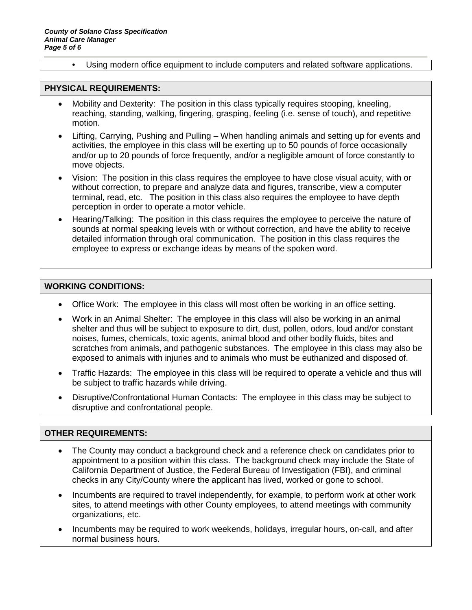• Using modern office equipment to include computers and related software applications.

#### **PHYSICAL REQUIREMENTS:**

- Mobility and Dexterity: The position in this class typically requires stooping, kneeling, reaching, standing, walking, fingering, grasping, feeling (i.e. sense of touch), and repetitive motion.
- Lifting, Carrying, Pushing and Pulling When handling animals and setting up for events and activities, the employee in this class will be exerting up to 50 pounds of force occasionally and/or up to 20 pounds of force frequently, and/or a negligible amount of force constantly to move objects.
- Vision: The position in this class requires the employee to have close visual acuity, with or without correction, to prepare and analyze data and figures, transcribe, view a computer terminal, read, etc. The position in this class also requires the employee to have depth perception in order to operate a motor vehicle.
- Hearing/Talking: The position in this class requires the employee to perceive the nature of sounds at normal speaking levels with or without correction, and have the ability to receive detailed information through oral communication. The position in this class requires the employee to express or exchange ideas by means of the spoken word.

#### **WORKING CONDITIONS:**

- Office Work: The employee in this class will most often be working in an office setting.
- Work in an Animal Shelter: The employee in this class will also be working in an animal shelter and thus will be subject to exposure to dirt, dust, pollen, odors, loud and/or constant noises, fumes, chemicals, toxic agents, animal blood and other bodily fluids, bites and scratches from animals, and pathogenic substances. The employee in this class may also be exposed to animals with injuries and to animals who must be euthanized and disposed of.
- Traffic Hazards: The employee in this class will be required to operate a vehicle and thus will be subject to traffic hazards while driving.
- Disruptive/Confrontational Human Contacts: The employee in this class may be subject to disruptive and confrontational people.

#### **OTHER REQUIREMENTS:**

- The County may conduct a background check and a reference check on candidates prior to appointment to a position within this class. The background check may include the State of California Department of Justice, the Federal Bureau of Investigation (FBI), and criminal checks in any City/County where the applicant has lived, worked or gone to school.
- Incumbents are required to travel independently, for example, to perform work at other work sites, to attend meetings with other County employees, to attend meetings with community organizations, etc.
- Incumbents may be required to work weekends, holidays, irregular hours, on-call, and after normal business hours.